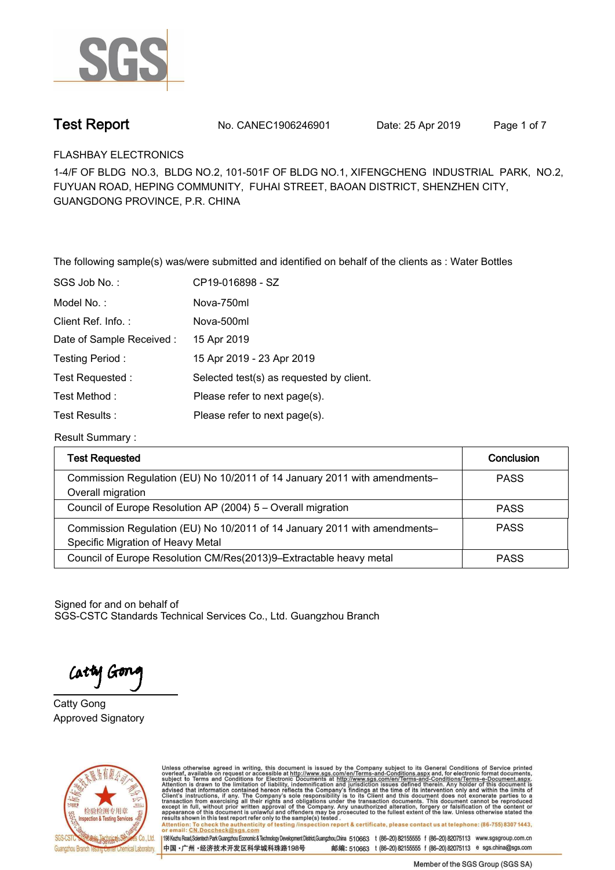

**Test Report. No. CANEC1906246901** Date: 25 Apr 2019 Page 1 of 7

**FLASHBAY ELECTRONICS.**

**1-4/F OF BLDG NO.3, BLDG NO.2, 101-501F OF BLDG NO.1, XIFENGCHENG INDUSTRIAL PARK, NO.2, FUYUAN ROAD, HEPING COMMUNITY, FUHAI STREET, BAOAN DISTRICT, SHENZHEN CITY, GUANGDONG PROVINCE, P.R. CHINA**

**The following sample(s) was/were submitted and identified on behalf of the clients as : Water Bottles.**

| SGS Job No.:              | CP19-016898 - SZ                         |
|---------------------------|------------------------------------------|
| Model No.:                | Nova-750ml                               |
| Client Ref. Info.:        | Nova-500ml                               |
| Date of Sample Received : | 15 Apr 2019                              |
| Testing Period:           | 15 Apr 2019 - 23 Apr 2019                |
| Test Requested:           | Selected test(s) as requested by client. |
| Test Method:              | Please refer to next page(s).            |
| Test Results:             | Please refer to next page(s).            |
|                           |                                          |

**Result Summary :.**

| <b>Test Requested</b>                                                                                          | <b>Conclusion</b> |
|----------------------------------------------------------------------------------------------------------------|-------------------|
| Commission Regulation (EU) No 10/2011 of 14 January 2011 with amendments-<br>Overall migration                 | <b>PASS</b>       |
| Council of Europe Resolution AP (2004) 5 - Overall migration                                                   | <b>PASS</b>       |
| Commission Regulation (EU) No 10/2011 of 14 January 2011 with amendments-<br>Specific Migration of Heavy Metal | <b>PASS</b>       |
| Council of Europe Resolution CM/Res(2013)9-Extractable heavy metal                                             | <b>PASS</b>       |

Signed for and on behalf of SGS-CSTC Standards Technical Services Co., Ltd. Guangzhou Branch.

Cathy Gon

**Approved Signatory . . . Catty Gong.**



Unless otherwise agreed in writing, this document is issued by the Company subject to its General Conditions of Service printed overleaf, available on request or accessible at http://www.sgs.com/en/Terms-and-Conditions.asp results shown in this test report ferer only to the sample(s) tested .<br>Attention: To check the authenticity of testing /inspection report & certificate, please contact us at telephone: (86-755) 8307 1443,<br>or email: <u>CN.Doc</u>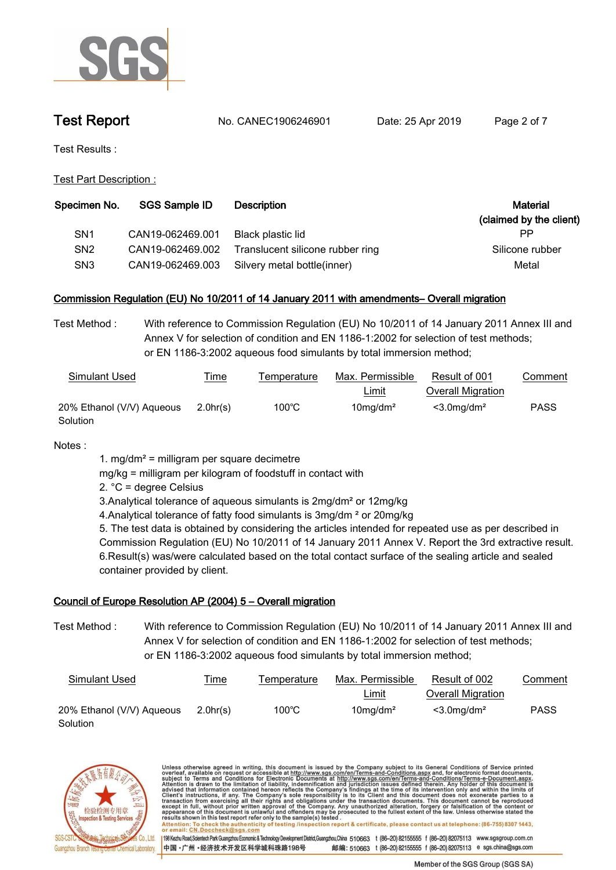

**Test Report. No. CANEC1906246901** Date: 25 Apr 2019 Page 2 of 7

**Test Results :.**

**Test Part Description :.**

| <b>SGS Sample ID</b> | <b>Description</b>               | Material<br>(claimed by the client) |
|----------------------|----------------------------------|-------------------------------------|
| CAN19-062469.001     | Black plastic lid                | РP                                  |
| CAN19-062469.002     | Translucent silicone rubber ring | Silicone rubber                     |
|                      | Silvery metal bottle(inner)      | Metal                               |
|                      |                                  | CAN19-062469.003                    |

### **Commission Regulation (EU) No 10/2011 of 14 January 2011 with amendments– Overall migration.**

**Test Method :. With reference to Commission Regulation (EU) No 10/2011 of 14 January 2011 Annex III and Annex V for selection of condition and EN 1186-1:2002 for selection of test methods; or EN 1186-3:2002 aqueous food simulants by total immersion method;.**

| Simulant Used             | <b>Time</b> | Temperature | Max. Permissible        | Result of 001              | Comment     |
|---------------------------|-------------|-------------|-------------------------|----------------------------|-------------|
|                           |             |             | <u>Limit</u>            | <b>Overall Migration</b>   |             |
| 20% Ethanol (V/V) Aqueous | 2.0hr(s)    | 100°C       | $10$ mg/dm <sup>2</sup> | $<$ 3.0 mg/dm <sup>2</sup> | <b>PASS</b> |
| Solution                  |             |             |                         |                            |             |

**Notes :.**

**1. mg/dm² = milligram per square decimetre**

**mg/kg = milligram per kilogram of foodstuff in contact with**

**2. °C = degree Celsius**

**3.Analytical tolerance of aqueous simulants is 2mg/dm² or 12mg/kg**

**4.Analytical tolerance of fatty food simulants is 3mg/dm ² or 20mg/kg**

**5. The test data is obtained by considering the articles intended for repeated use as per described in Commission Regulation (EU) No 10/2011 of 14 January 2011 Annex V. Report the 3rd extractive result. 6.Result(s) was/were calculated based on the total contact surface of the sealing article and sealed container provided by client..**

### **Council of Europe Resolution AP (2004) 5 – Overall migration.**

**Test Method :. With reference to Commission Regulation (EU) No 10/2011 of 14 January 2011 Annex III and Annex V for selection of condition and EN 1186-1:2002 for selection of test methods; or EN 1186-3:2002 aqueous food simulants by total immersion method;.**

| Simulant Used             | <u>Time</u> | Temperature     | Max. Permissible        | Result of 002             | Comment     |
|---------------------------|-------------|-----------------|-------------------------|---------------------------|-------------|
|                           |             |                 | <u>Limit</u>            | Overall Migration         |             |
| 20% Ethanol (V/V) Aqueous | 2.0hr(s)    | $100^{\circ}$ C | $10$ mg/dm <sup>2</sup> | $<$ 3.0mg/dm <sup>2</sup> | <b>PASS</b> |
| Solution                  |             |                 |                         |                           |             |



Unless otherwise agreed in writing, this document is issued by the Company subject to its General Conditions of Service printed overleaf, available on request or accessible at http://www.sgs.com/en/Terms-and-Conditions.asp resums shown in mas lost report tells with one sample(s) lesied .<br>Attention: To check the authenticity of testing /inspection report & certificate, please contact us at telephone: (86-755) 8307 1443,<br>or email: <u>CN.Doccheck</u> 198 Kezhu Road,Scientech Park Guangzhou Economic & Technology Development District,Guangzhou,China 510663 t (86-20) 82155555 f (86-20) 82075113 www.sgsgroup.com.cn 中国·广州·经济技术开发区科学城科珠路198号 邮编: 510663 t (86-20) 82155555 f (86-20) 82075113 e sgs.china@sgs.com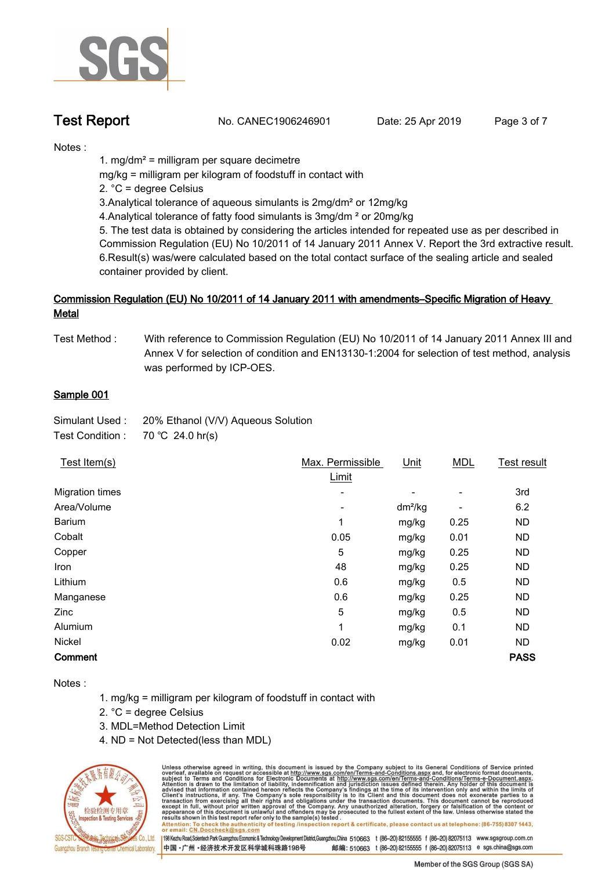

**Test Report. No. CANEC1906246901** Date: 25 Apr 2019 Page 3 of 7

**Notes :.**

**1. mg/dm² = milligram per square decimetre**

**mg/kg = milligram per kilogram of foodstuff in contact with**

**2. °C = degree Celsius**

**3.Analytical tolerance of aqueous simulants is 2mg/dm² or 12mg/kg**

**4.Analytical tolerance of fatty food simulants is 3mg/dm ² or 20mg/kg**

**5. The test data is obtained by considering the articles intended for repeated use as per described in Commission Regulation (EU) No 10/2011 of 14 January 2011 Annex V. Report the 3rd extractive result. 6.Result(s) was/were calculated based on the total contact surface of the sealing article and sealed container provided by client..**

# Commission Regulation (EU) No 10/2011 of 14 January 2011 with amendments–Specific Migration of Heavy<br>Metal

**Test Method : With reference to Commission Regulation (EU) No 10/2011 of 14 January 2011 Annex III and Annex V for selection of condition and EN13130-1:2004 for selection of test method, analysis was performed by ICP-OES.**

### **Sample 001.**

| Simulant Used:   | 20% Ethanol (V/V) Aqueous Solution |
|------------------|------------------------------------|
| Test Condition : | 70 °C 24.0 hr(s)                   |

| Test Item(s)    | Max. Permissible | Unit                     | <b>MDL</b>               | Test result |
|-----------------|------------------|--------------------------|--------------------------|-------------|
|                 | Limit            |                          |                          |             |
| Migration times | ٠                | $\overline{\phantom{0}}$ | $\overline{\phantom{a}}$ | 3rd         |
| Area/Volume     | ٠                | $dm^2/kg$                |                          | 6.2         |
| Barium          | 1                | mg/kg                    | 0.25                     | <b>ND</b>   |
| Cobalt          | 0.05             | mg/kg                    | 0.01                     | <b>ND</b>   |
| Copper          | 5                | mg/kg                    | 0.25                     | <b>ND</b>   |
| Iron            | 48               | mg/kg                    | 0.25                     | <b>ND</b>   |
| Lithium         | 0.6              | mg/kg                    | 0.5                      | <b>ND</b>   |
| Manganese       | 0.6              | mg/kg                    | 0.25                     | <b>ND</b>   |
| Zinc            | 5                | mg/kg                    | 0.5                      | <b>ND</b>   |
| Alumium         | 1                | mg/kg                    | 0.1                      | <b>ND</b>   |
| Nickel          | 0.02             | mg/kg                    | 0.01                     | ND.         |
| Comment         |                  |                          |                          | <b>PASS</b> |

**Notes :**

- **1. mg/kg = milligram per kilogram of foodstuff in contact with**
- **2. °C = degree Celsius**
- **3. MDL=Method Detection Limit**
- **4. ND = Not Detected(less than MDL)**



Unless otherwise agreed in writing, this document is issued by the Company subject to its General Conditions of Service printed overleaf, available on request or accessible at http://www.sgs.com/en/Terms-and-Conditions.asp To check the authenticity of testing /inspection report & certificate, please contact us at telephone: (86-755) 8307 1443, Attention: To check the authentic<br>or email: CN.Doccheck@sgs.con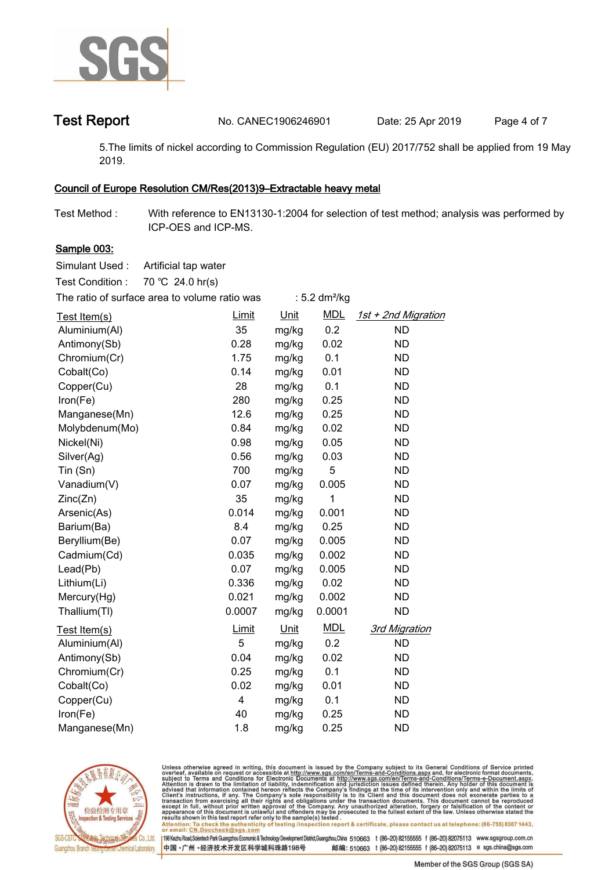

**Test Report No. CANEC1906246901** Date: 25 Apr 2019 Page 4 of 7

**5.The limits of nickel according to Commission Regulation (EU) 2017/752 shall be applied from 19 May 2019..**

### **Council of Europe Resolution CM/Res(2013)9–Extractable heavy metal.**

**Test Method :. With reference to EN13130-1:2004 for selection of test method; analysis was performed by ICP-OES and ICP-MS..**

### **Sample 003:.**

**Simulant Used :. Artificial tap water..**

**Test Condition :. 70.℃ 24.0.hr(s).**

| The ratio of surface area to volume ratio was |        |       | : $5.2 \text{ dm}^2/\text{kg}$ |                      |
|-----------------------------------------------|--------|-------|--------------------------------|----------------------|
| Test Item(s)                                  | Limit  | Unit  | <b>MDL</b>                     | 1st + 2nd Migration  |
| Aluminium(Al)                                 | 35     | mg/kg | 0.2                            | <b>ND</b>            |
| Antimony(Sb)                                  | 0.28   | mg/kg | 0.02                           | <b>ND</b>            |
| Chromium(Cr)                                  | 1.75   | mg/kg | 0.1                            | <b>ND</b>            |
| Cobalt(Co)                                    | 0.14   | mg/kg | 0.01                           | <b>ND</b>            |
| Copper(Cu)                                    | 28     | mg/kg | 0.1                            | <b>ND</b>            |
| Iron(Fe)                                      | 280    | mg/kg | 0.25                           | <b>ND</b>            |
| Manganese(Mn)                                 | 12.6   | mg/kg | 0.25                           | <b>ND</b>            |
| Molybdenum(Mo)                                | 0.84   | mg/kg | 0.02                           | <b>ND</b>            |
| Nickel(Ni)                                    | 0.98   | mg/kg | 0.05                           | <b>ND</b>            |
| Silver(Ag)                                    | 0.56   | mg/kg | 0.03                           | <b>ND</b>            |
| Tin (Sn)                                      | 700    | mg/kg | 5                              | <b>ND</b>            |
| Vanadium(V)                                   | 0.07   | mg/kg | 0.005                          | <b>ND</b>            |
| Zinc(Zn)                                      | 35     | mg/kg | 1                              | <b>ND</b>            |
| Arsenic(As)                                   | 0.014  | mg/kg | 0.001                          | <b>ND</b>            |
| Barium(Ba)                                    | 8.4    | mg/kg | 0.25                           | <b>ND</b>            |
| Beryllium(Be)                                 | 0.07   | mg/kg | 0.005                          | <b>ND</b>            |
| Cadmium(Cd)                                   | 0.035  | mg/kg | 0.002                          | <b>ND</b>            |
| Lead(Pb)                                      | 0.07   | mg/kg | 0.005                          | <b>ND</b>            |
| Lithium(Li)                                   | 0.336  | mg/kg | 0.02                           | <b>ND</b>            |
| Mercury(Hg)                                   | 0.021  | mg/kg | 0.002                          | <b>ND</b>            |
| Thallium(TI)                                  | 0.0007 | mg/kg | 0.0001                         | <b>ND</b>            |
| Test Item(s)                                  | Limit  | Unit  | <b>MDL</b>                     | <b>3rd Migration</b> |
| Aluminium(Al)                                 | 5      | mg/kg | 0.2                            | <b>ND</b>            |
| Antimony(Sb)                                  | 0.04   | mg/kg | 0.02                           | <b>ND</b>            |
| Chromium(Cr)                                  | 0.25   | mg/kg | 0.1                            | <b>ND</b>            |
| Cobalt(Co)                                    | 0.02   | mg/kg | 0.01                           | <b>ND</b>            |
| Copper(Cu)                                    | 4      | mg/kg | 0.1                            | <b>ND</b>            |
| Iron(Fe)                                      | 40     | mg/kg | 0.25                           | <b>ND</b>            |
| Manganese(Mn)                                 | 1.8    | mg/kg | 0.25                           | <b>ND</b>            |



Unless otherwise agreed in writing, this document is issued by the Company subject to its General Conditions of Service printed overleaf, available on request or accessible at http://www.sgs.com/en/Terms-and-Conditions.asp résults shown in this test report refer only to the sample(s) tésted .<br>Attention: To check the authenticity of testing /inspection report & certificate, please contact us at telephone: (86-755) 8307 1443,<br>or email: <u>CN.Doc</u>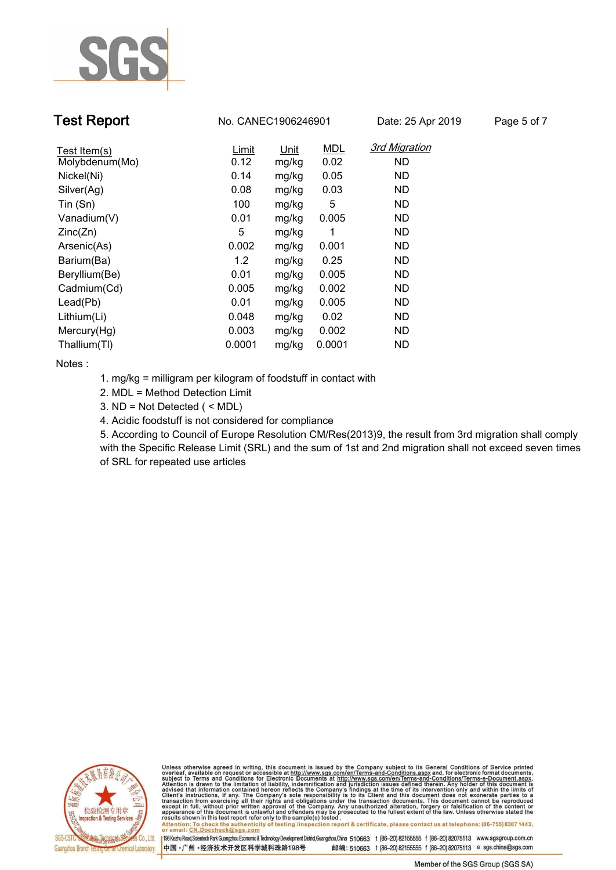

**Test Report No. CANEC1906246901** Date: 25 Apr 2019 Page 5 of 7

| Test Item(s)   | Limit  | Unit  | <b>MDL</b> | <b>3rd Migration</b> |
|----------------|--------|-------|------------|----------------------|
| Molybdenum(Mo) | 0.12   | mg/kg | 0.02       | <b>ND</b>            |
| Nickel(Ni)     | 0.14   | mg/kg | 0.05       | ND.                  |
| Silver(Ag)     | 0.08   | mg/kg | 0.03       | ND.                  |
| Tin (Sn)       | 100    | mg/kg | 5          | ND.                  |
| Vanadium(V)    | 0.01   | mg/kg | 0.005      | <b>ND</b>            |
| Zinc(Zn)       | 5      | mg/kg | 1          | <b>ND</b>            |
| Arsenic(As)    | 0.002  | mg/kg | 0.001      | <b>ND</b>            |
| Barium(Ba)     | 1.2    | mg/kg | 0.25       | ND.                  |
| Beryllium(Be)  | 0.01   | mg/kg | 0.005      | <b>ND</b>            |
| Cadmium(Cd)    | 0.005  | mg/kg | 0.002      | ND.                  |
| Lead(Pb)       | 0.01   | mg/kg | 0.005      | <b>ND</b>            |
| Lithium(Li)    | 0.048  | mg/kg | 0.02       | <b>ND</b>            |
| Mercury(Hg)    | 0.003  | mg/kg | 0.002      | <b>ND</b>            |
| Thallium(TI)   | 0.0001 | mg/kg | 0.0001     | <b>ND</b>            |

**Notes :.**

- **1. mg/kg = milligram per kilogram of foodstuff in contact with**
- **2. MDL = Method Detection Limit**
- **3. ND = Not Detected ( < MDL)**
- **4. Acidic foodstuff is not considered for compliance**

**5. According to Council of Europe Resolution CM/Res(2013)9, the result from 3rd migration shall comply with the Specific Release Limit (SRL) and the sum of 1st and 2nd migration shall not exceed seven times of SRL for repeated use articles.**



Unless otherwise agreed in writing, this document is issued by the Company subject to its General Conditions of Service printed overleaf, available on request or accessible at http://www.sgs.com/en/Terms-and-Conditions.asp résults shown in this test report refer only to the sample(s) tésted .<br>Attention: To check the authenticity of testing /inspection report & certificate, please contact us at telephone: (86-755) 8307 1443,<br>or email: <u>CN.Doc</u>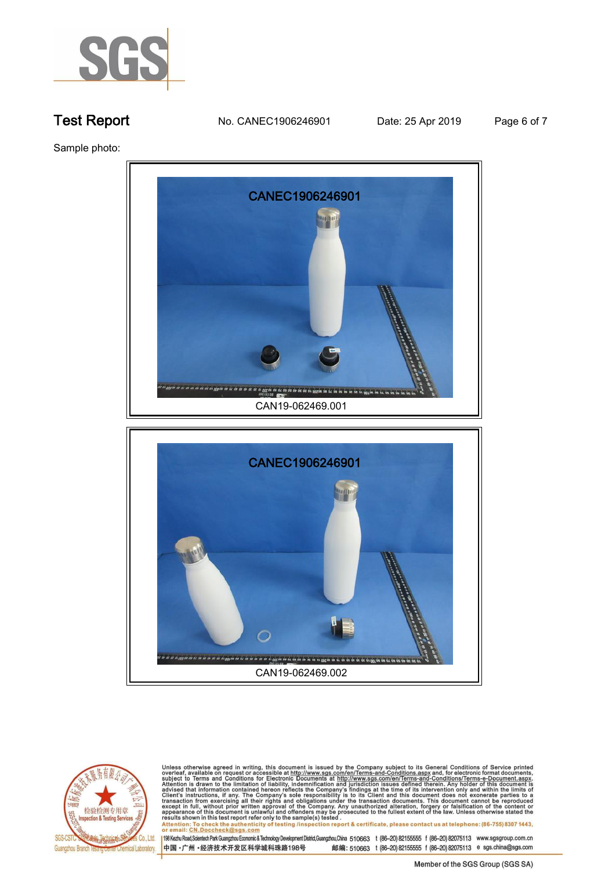

**Test Report. No. CANEC1906246901** Date: 25 Apr 2019 Page 6 of 7

**Sample photo:.**





Unless otherwise agreed in writing, this document is issued by the Company subject to its General Conditions of Service printed<br>overleaf, available on request or accessible at http://www.sgs.com/en/Terms-and-Conditions.asp results shown in this test report refer only to the sample(s) tested .<br>Attention: To check the authenticity of testing /inspection report & certificate, please contact us at telephone: (86-755) 8307 1443,<br>or email: <u>CN.Doc</u>